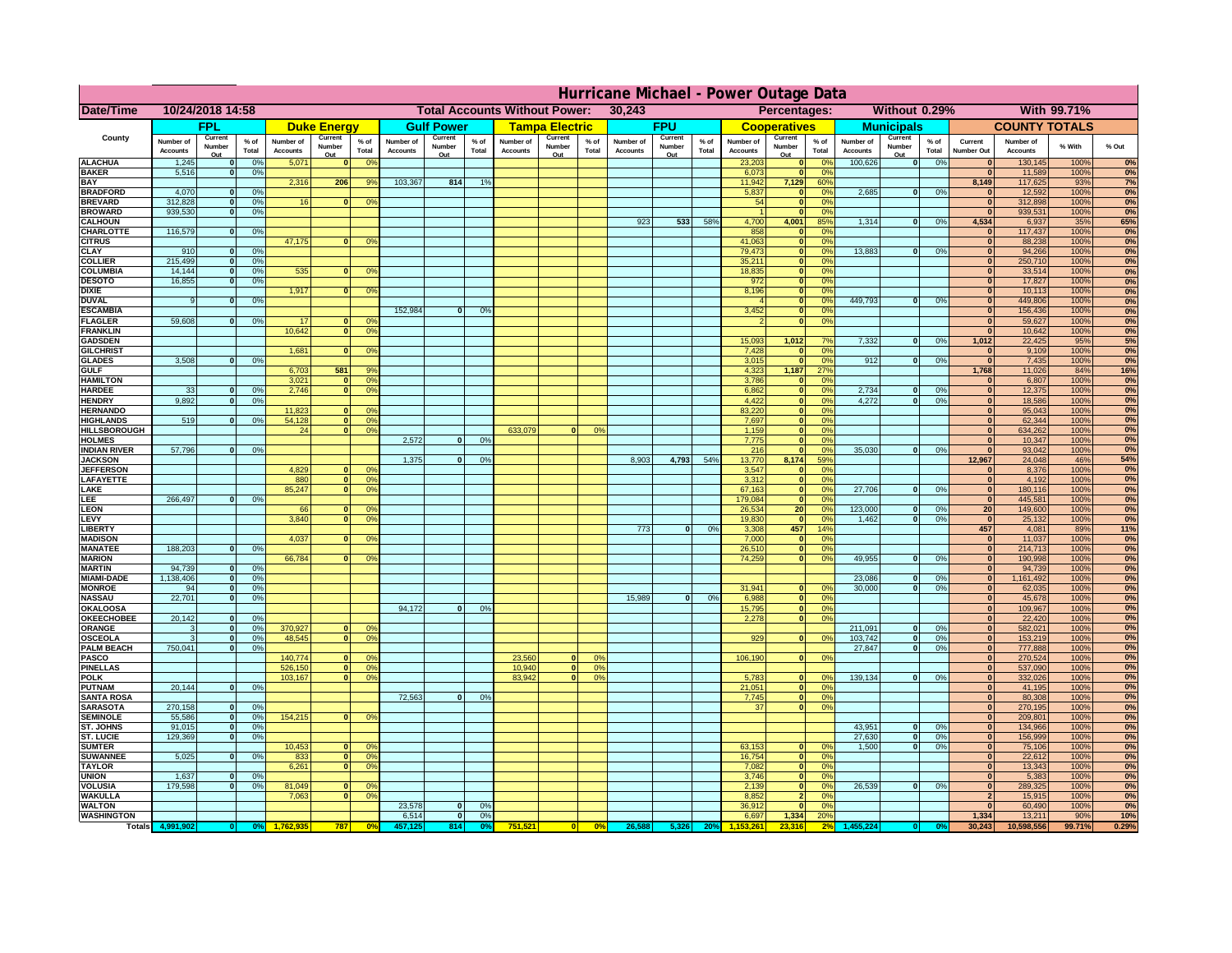|                                      | Hurricane Michael - Power Outage Data |                             |                 |                              |                          |                                        |                                                |                          |                |                              |                          |                  |                                              |                          |                 |                              |                          |                 |                              |                          |                 |                                |                              |              |           |
|--------------------------------------|---------------------------------------|-----------------------------|-----------------|------------------------------|--------------------------|----------------------------------------|------------------------------------------------|--------------------------|----------------|------------------------------|--------------------------|------------------|----------------------------------------------|--------------------------|-----------------|------------------------------|--------------------------|-----------------|------------------------------|--------------------------|-----------------|--------------------------------|------------------------------|--------------|-----------|
| Date/Time                            | 10/24/2018 14:58                      |                             |                 |                              |                          |                                        | <b>Total Accounts Without Power:</b><br>30,243 |                          |                |                              |                          |                  | Without 0.29%<br>With 99.71%<br>Percentages: |                          |                 |                              |                          |                 |                              |                          |                 |                                |                              |              |           |
|                                      |                                       | FPL                         |                 |                              | <b>Duke Energy</b>       |                                        |                                                | <b>Gulf Power</b>        |                |                              | <b>Tampa Electric</b>    |                  |                                              | <b>FPU</b>               |                 |                              | <b>Cooperatives</b>      |                 |                              | <b>Municipals</b>        |                 |                                | <b>COUNTY TOTALS</b>         |              |           |
| County                               | Number of<br><b>Accounts</b>          | Current<br>Number<br>Out    | $%$ of<br>Total | Number of<br><b>Accounts</b> | Current<br>Number<br>Out | $%$ of<br>Total                        | Number of<br><b>Accounts</b>                   | Current<br>Number<br>Out | % of<br>Total  | Number of<br><b>Accounts</b> | Current<br>Number<br>Out | $%$ of<br>Total  | Number of<br><b>Accounts</b>                 | Current<br>Number<br>Out | $%$ of<br>Total | Number of<br><b>Accounts</b> | Current<br>Number<br>Out | $%$ of<br>Total | Number of<br><b>Accounts</b> | Current<br>Number<br>Out | $%$ of<br>Total | Current<br><b>Number Out</b>   | Number of<br><b>Accounts</b> | % With       | % Out     |
| <b>ALACHUA</b>                       | 1,245                                 | $\mathbf{0}$                | 0%              | 5,071                        | $\bf{0}$                 | 0 <sup>9</sup>                         |                                                |                          |                |                              |                          |                  |                                              |                          |                 | 23,203                       | 0                        | 0 <sup>9</sup>  | 100,626                      | 0                        | 0%              | $\bf{0}$                       | 130,145                      | 100%         | 0%        |
| <b>BAKER</b>                         | 5,516                                 | 0                           | 0%              |                              |                          |                                        |                                                |                          |                |                              |                          |                  |                                              |                          |                 | 6,073                        | 0                        | 0%              |                              |                          |                 | $\mathbf{0}$                   | 11,589                       | 100%         | 0%        |
| <b>BAY</b><br><b>BRADFORD</b>        | 4,070                                 | $\mathbf{0}$                | 0%              | 2,316                        | 206                      | 9%                                     | 103,367                                        | 814                      | 1%             |                              |                          |                  |                                              |                          |                 | 11,942<br>5,837              | 7,129<br> 0              | 60%<br>0%       | 2,685                        | 0                        | 0%              | 8,149<br>$\bf{0}$              | 117,625<br>12,592            | 93%<br>100%  | 7%<br>0%  |
| <b>BREVARD</b>                       | 312,828                               | 0                           | 0%              | 16                           | 0                        | 0 <sup>o</sup>                         |                                                |                          |                |                              |                          |                  |                                              |                          |                 | 54                           | 0                        | 0%              |                              |                          |                 | 0                              | 312,898                      | 100%         | 0%        |
| <b>BROWARD</b>                       | 939.530                               | 0                           | 0%              |                              |                          |                                        |                                                |                          |                |                              |                          |                  |                                              |                          |                 |                              | 0                        | 0%              |                              |                          |                 | $\bf{0}$                       | 939,531                      | 100%         | 0%        |
| <b>CALHOUN</b><br>CHARLOTTE          | 116,579                               | 0                           | 0%              |                              |                          |                                        |                                                |                          |                |                              |                          |                  | 923                                          | 533                      | 58%             | 4,700<br>858                 | 4,001<br> 0              | 85%<br>0%       | 1,314                        | 0                        | 0%              | 4,534<br>$\bf{0}$              | 6,937<br>117,437             | 35%<br>100%  | 65%<br>0% |
| <b>CITRUS</b>                        |                                       |                             |                 | 47,175                       | $\mathbf{0}$             | 0 <sup>o</sup>                         |                                                |                          |                |                              |                          |                  |                                              |                          |                 | 41,063                       | 0                        | 0 <sup>9</sup>  |                              |                          |                 | $\bf{0}$                       | 88,238                       | 100%         | 0%        |
| <b>CLAY</b>                          | 910                                   | $\mathbf{0}$                | 0%              |                              |                          |                                        |                                                |                          |                |                              |                          |                  |                                              |                          |                 | 79,473                       | 0                        | 0 <sup>9</sup>  | 13,883                       | $\mathbf{0}$             | 0%              | $\bf{0}$                       | 94,266                       | 100%         | 0%        |
| <b>COLLIER</b>                       | 215,499                               | $\mathbf{0}$                | 0 <sup>9</sup>  |                              |                          |                                        |                                                |                          |                |                              |                          |                  |                                              |                          |                 | 35,211                       | 0                        | 0%              |                              |                          |                 | $\bf{0}$                       | 250,710                      | 100%         | 0%        |
| <b>COLUMBIA</b><br><b>DESOTO</b>     | 14,144<br>16,855                      | $\mathbf 0$<br>$\mathbf{0}$ | 0%<br>0%        | 535                          | $\mathbf{0}$             | 0 <sup>9</sup>                         |                                                |                          |                |                              |                          |                  |                                              |                          |                 | 18,835<br>972                | 0 <br> 0                 | 0%<br>0%        |                              |                          |                 | $\bf{0}$<br>$\bf{0}$           | 33,514<br>17,827             | 100%<br>100% | 0%<br>0%  |
| <b>DIXIE</b>                         |                                       |                             |                 | 1,917                        | $\mathbf{0}$             | 0 <sup>9</sup>                         |                                                |                          |                |                              |                          |                  |                                              |                          |                 | 8,196                        | 0                        | 0%              |                              |                          |                 | $\Omega$                       | 10,113                       | 100%         | 0%        |
| <b>DUVAL</b>                         | 9                                     | $\Omega$                    | 0%              |                              |                          |                                        |                                                |                          |                |                              |                          |                  |                                              |                          |                 |                              | 0                        | 0%              | 449.793                      | $\overline{0}$           | 0%              | $\Omega$                       | 449,806                      | 100%         | 0%        |
| <b>ESCAMBIA</b>                      |                                       |                             |                 |                              |                          |                                        | 152,984                                        | $\mathbf{0}$             | 0 <sup>9</sup> |                              |                          |                  |                                              |                          |                 | 3,452                        | 0                        | 0%              |                              |                          |                 | $\Omega$                       | 156,436                      | 100%         | 0%        |
| <b>FLAGLER</b><br><b>FRANKLIN</b>    | 59,608                                | $\overline{0}$              | 0%              | 17<br>10,642                 | $\bf{0}$<br> 0           | 0 <sup>o</sup><br>0 <sup>9</sup>       |                                                |                          |                |                              |                          |                  |                                              |                          |                 |                              | 0                        | 0%              |                              |                          |                 | $\mathbf{0}$<br>$\Omega$       | 59,627<br>10,642             | 100%<br>100% | 0%<br>0%  |
| <b>GADSDEN</b>                       |                                       |                             |                 |                              |                          |                                        |                                                |                          |                |                              |                          |                  |                                              |                          |                 | 15,093                       | 1,012                    | 7%              | 7,332                        | 0                        | 0%              | 1,012                          | 22,425                       | 95%          | 5%        |
| <b>GILCHRIST</b>                     |                                       |                             |                 | 1,681                        | $\Omega$                 | 0 <sup>9</sup>                         |                                                |                          |                |                              |                          |                  |                                              |                          |                 | 7,428                        | 0                        | 0%              |                              |                          |                 | $\mathbf{0}$                   | 9,109                        | 100%         | 0%        |
| <b>GLADES</b><br><b>GULF</b>         | 3,508                                 | 0                           | 0%              |                              | 581                      | 9%                                     |                                                |                          |                |                              |                          |                  |                                              |                          |                 | 3,015                        | 0 <br>1,187              | 0%<br>27%       | 912                          | $\overline{0}$           | 0%              | 0 <br>1,768                    | 7,435                        | 100%<br>84%  | 0%        |
| <b>HAMILTON</b>                      |                                       |                             |                 | 6,703<br>3,021               | $\overline{0}$           | 0 <sup>9</sup>                         |                                                |                          |                |                              |                          |                  |                                              |                          |                 | 4,323<br>3,786               | 0                        | 0%              |                              |                          |                 | $\Omega$                       | 11,026<br>6,807              | 100%         | 16%<br>0% |
| <b>HARDEE</b>                        | 33                                    | $\overline{0}$              | 0%              | 2.746                        | $\overline{0}$           | 0 <sup>9</sup>                         |                                                |                          |                |                              |                          |                  |                                              |                          |                 | 6.862                        | $\overline{0}$           | 0%              | 2.734                        | $\mathbf{0}$             | 0%              | 0                              | 12,375                       | 100%         | 0%        |
| <b>HENDRY</b>                        | 9,892                                 | $\Omega$                    | 0%              |                              |                          |                                        |                                                |                          |                |                              |                          |                  |                                              |                          |                 | 4,422                        | 0                        | 0%              | 4,272                        | $\Omega$                 | 0%              | 0                              | 18,586                       | 100%         | 0%        |
| <b>HERNANDO</b><br><b>HIGHLANDS</b>  | 519                                   | $\mathbf{0}$                |                 | 11,823<br>54,128             | $\mathbf{0}$<br> 0       | 0 <sup>9</sup><br>0 <sup>9</sup>       |                                                |                          |                |                              |                          |                  |                                              |                          |                 | 83,220<br>7,697              | 0 <br> 0                 | 0%<br>0%        |                              |                          |                 | 0 <br> 0                       | 95,043<br>62,344             | 100%<br>100% | 0%<br>0%  |
| <b>HILLSBOROUGH</b>                  |                                       |                             | 0 <sup>9</sup>  | 24                           | 0                        | 0 <sup>9</sup>                         |                                                |                          |                | 633,079                      |                          | 0%               |                                              |                          |                 | 1,159                        | 0                        | 0%              |                              |                          |                 | 0                              | 634,262                      | 100%         | 0%        |
| <b>HOLMES</b>                        |                                       |                             |                 |                              |                          |                                        | 2.572                                          | $\mathbf{0}$             | 0%             |                              |                          |                  |                                              |                          |                 | 7,775                        | 0                        | 0%              |                              |                          |                 | 0                              | 10,347                       | 100%         | 0%        |
| <b>INDIAN RIVER</b>                  | 57,796                                | $\mathbf{0}$                | 0%              |                              |                          |                                        |                                                |                          |                |                              |                          |                  |                                              |                          |                 | 216                          | 0                        | 0%              | 35,030                       | $\mathbf{0}$             | 0%              | 0                              | 93,042                       | 100%         | 0%        |
| <b>JACKSON</b><br><b>JEFFERSON</b>   |                                       |                             |                 | 4.829                        | n l                      | 0 <sup>9</sup>                         | 1.375                                          | $\mathbf{0}$             | 0 <sup>9</sup> |                              |                          |                  | 8.903                                        | 4,793                    | 54%             | 13,770<br>3.547              | 8.174                    | 59%<br>0%       |                              |                          |                 | 12.967<br>$\mathbf{0}$         | 24,048<br>8.376              | 46%<br>100%  | 54%<br>0% |
| LAFAYETTE                            |                                       |                             |                 | 880                          | 0                        | 0 <sup>9</sup>                         |                                                |                          |                |                              |                          |                  |                                              |                          |                 | 3.312                        | 0 <br> 0                 | 0%              |                              |                          |                 | 0                              | 4,192                        | 100%         | 0%        |
| LAKE                                 |                                       |                             |                 | 85,247                       | $\mathbf{0}$             | 0 <sup>9</sup>                         |                                                |                          |                |                              |                          |                  |                                              |                          |                 | 67,163                       | 0                        | 0%              | 27,706                       | $\Omega$                 | 0%              | 0                              | 180,116                      | 100%         | 0%        |
| EE.                                  | 266,497                               | 0                           | 0%              |                              |                          |                                        |                                                |                          |                |                              |                          |                  |                                              |                          |                 | 179,084                      | 0                        | 0%              |                              |                          |                 | 0                              | 445,581                      | 100%         | 0%        |
| LEON<br>LEVY                         |                                       |                             |                 | 66<br>3,840                  | $\mathbf{0}$<br>$\Omega$ | 0 <sup>o</sup><br>0 <sup>9</sup>       |                                                |                          |                |                              |                          |                  |                                              |                          |                 | 26,534<br>19,830             | 20 <sup>1</sup><br> 0    | 0%<br>0%        | 123,000<br>1,462             | $\mathbf{0}$<br>-ol      | 0%<br>0%        | 20 <sup>1</sup><br> 0          | 149,600<br>25,132            | 100%<br>100% | 0%<br>0%  |
| <b>LIBERTY</b>                       |                                       |                             |                 |                              |                          |                                        |                                                |                          |                |                              |                          |                  | 773                                          | $\Omega$                 | 0%              | 3,308                        | 457                      | 14%             |                              |                          |                 | 457                            | 4,081                        | 89%          | 11%       |
| <b>MADISON</b>                       |                                       |                             |                 | 4,037                        | $\Omega$                 | 0 <sup>9</sup>                         |                                                |                          |                |                              |                          |                  |                                              |                          |                 | 7,000                        | 0                        | 0%              |                              |                          |                 | 0                              | 11,037                       | 100%         | 0%        |
| <b>MANATEE</b>                       | 188,203                               | 0                           | 0%              |                              |                          |                                        |                                                |                          |                |                              |                          |                  |                                              |                          |                 | 26,510                       | 0                        | 0%              |                              |                          |                 | 0                              | 214,713                      | 100%         | 0%        |
| <b>MARION</b><br><b>MARTIN</b>       | 94,739                                | 0                           | 0%              | 66,784                       | ΩI                       | 0 <sup>9</sup>                         |                                                |                          |                |                              |                          |                  |                                              |                          |                 | 74,259                       | 0                        | 0%              | 49,955                       | $\Omega$                 | 0%              | 0 <br> 0                       | 190,998<br>94,739            | 100%<br>100% | 0%<br>0%  |
| <b>MIAMI-DADE</b>                    | 1,138,406                             | 0                           | 0%              |                              |                          |                                        |                                                |                          |                |                              |                          |                  |                                              |                          |                 |                              |                          |                 | 23,086                       | $\mathbf{0}$             | 0%              | 0                              | 1,161,492                    | 100%         | 0%        |
| <b>MONROE</b>                        | 94                                    | 0                           | 0%              |                              |                          |                                        |                                                |                          |                |                              |                          |                  |                                              |                          |                 | 31,941                       | $\overline{0}$           | 0 <sup>9</sup>  | 30,000                       | 0                        | 0%              | 0                              | 62,035                       | 100%         | 0%        |
| <b>NASSAU</b>                        | 22,701                                | 0                           | 0%              |                              |                          |                                        |                                                |                          |                |                              |                          |                  | 15,989                                       | 0                        | 0%              | 6,988                        | 0                        | 0%              |                              |                          |                 | 0                              | 45,678                       | 100%         | 0%        |
| <b>OKALOOSA</b><br><b>OKEECHOBEE</b> | 20,142                                | 0                           | 0%              |                              |                          |                                        | 94,172                                         | $\mathbf{0}$             | 0%             |                              |                          |                  |                                              |                          |                 | 15,795<br>2,278              | 0                        | 0%<br>0%<br> 0  |                              |                          |                 | 0 <br> 0                       | 109,967<br>22,420            | 100%<br>100% | 0%<br>0%  |
| ORANGE                               | 3                                     | 0                           | 0%              | 370,927                      |                          | 0 <br>0 <sup>o</sup>                   |                                                |                          |                |                              |                          |                  |                                              |                          |                 |                              |                          |                 | 211,091                      | $\overline{\mathbf{0}}$  | 0%              | 0                              | 582,021                      | 100%         | 0%        |
| <b>OSCEOLA</b>                       | 3                                     | 0                           | 0%              | 48,545                       |                          | 0 <sup>9</sup><br> 0                   |                                                |                          |                |                              |                          |                  |                                              |                          |                 | 929                          |                          | 0 <br>0%        | 103,742                      | 0                        | 0%              | 0                              | 153,219                      | 100%         | 0%        |
| <b>PALM BEACH</b>                    | 750,041                               |                             | 0%<br> 0        |                              |                          |                                        |                                                |                          |                |                              |                          |                  |                                              |                          |                 |                              |                          |                 | 27,847                       | $\overline{\mathbf{0}}$  | 0%              | 0                              | 777,888                      | 100%         | 0%        |
| PASCO<br><b>PINELLAS</b>             |                                       |                             |                 | 140,774<br>526,150           | $\Omega$                 | 0 <sup>9</sup><br>0 <sup>9</sup><br> 0 |                                                |                          |                | 23,560<br>10,940             | $\Omega$<br> 0           | $^{\circ}$<br>0% |                                              |                          |                 | 106,190                      |                          | 0 <br>0%        |                              |                          |                 | 0 <br>$\Omega$                 | 270,524<br>537,090           | 100%<br>100% | 0%<br>0%  |
| <b>POLK</b>                          |                                       |                             |                 | 103,167                      |                          | 0 <sup>9</sup><br> 0                   |                                                |                          |                | 83,942                       | $\mathbf{a}$             | 0%               |                                              |                          |                 | 5,783                        | 0                        | $\Omega$        | 139,134                      | 0                        | 0%              | 0                              | 332,026                      | 100%         | 0%        |
| <b>PUTNAM</b>                        | 20,144                                | 0                           | 0%              |                              |                          |                                        |                                                |                          |                |                              |                          |                  |                                              |                          |                 | 21,051                       | $\ddot{\textbf{0}}$      | 0%              |                              |                          |                 | $\bf{0}$                       | 41,195                       | 100%         | 0%        |
| <b>SANTA ROSA</b>                    |                                       |                             |                 |                              |                          |                                        | 72,563                                         | 0                        | 0%             |                              |                          |                  |                                              |                          |                 | 7,745                        | 0                        | 0%              |                              |                          |                 | $\mathbf{0}$                   | 80,308                       | 100%         | 0%        |
| <b>SARASOTA</b><br><b>SEMINOLE</b>   | 270,158<br>55,586                     | 0 <br> 0                    | 0%<br>0%        | 154,215                      |                          | $\mathbf{0}$<br>0 <sup>9</sup>         |                                                |                          |                |                              |                          |                  |                                              |                          |                 | 37                           |                          | 0 <br>0%        |                              |                          |                 | 0 <br> 0                       | 270,195<br>209,801           | 100%<br>100% | 0%<br>0%  |
| <b>ST. JOHNS</b>                     | 91,015                                | 0                           | 0%              |                              |                          |                                        |                                                |                          |                |                              |                          |                  |                                              |                          |                 |                              |                          |                 | 43,951                       | -ol                      | 0%              | 0                              | 134,966                      | 100%         | 0%        |
| <b>ST. LUCIE</b>                     | 129.369                               | $\mathbf{0}$                | 0%              |                              |                          |                                        |                                                |                          |                |                              |                          |                  |                                              |                          |                 |                              |                          |                 | 27.630                       | - O I                    | 0%              | 0                              | 156,999                      | 100%         | 0%        |
| <b>SUMTER</b>                        |                                       |                             |                 | 10,453                       | $\overline{0}$           | 0 <sup>9</sup>                         |                                                |                          |                |                              |                          |                  |                                              |                          |                 | 63,153                       | 0                        | 0%              | 1.500                        | 0                        | 0%              | 0 <br>$\mathbf{0}$             | 75,106                       | 100%         | 0%        |
| <b>SUWANNEE</b><br><b>TAYLOR</b>     | 5,025                                 | 0                           | 0%              | 833<br>6,261                 | 0 <br> 0                 | 0 <sup>o</sup><br>0 <sup>9</sup>       |                                                |                          |                |                              |                          |                  |                                              |                          |                 | 16,754<br>7,082              | 0 <br> 0                 | 0%<br>0%        |                              |                          |                 | $\bf{0}$                       | 22,612<br>13,343             | 100%<br>100% | 0%<br>0%  |
| <b>UNION</b>                         | 1,637                                 | $\mathbf{0}$                | 0%              |                              |                          |                                        |                                                |                          |                |                              |                          |                  |                                              |                          |                 | 3,746                        | 0                        | 0%              |                              |                          |                 | $\bf{0}$                       | 5,383                        | 100%         | 0%        |
| <b>VOLUSIA</b>                       | 179,598                               | 0                           | 0%              | 81,049                       | $\mathbf{0}$             | $\mathbf{0}$                           |                                                |                          |                |                              |                          |                  |                                              |                          |                 | 2,139                        | 0                        | 0%              | 26,539                       | 0                        | 0%              | $\bf{0}$                       | 289,325                      | 100%         | 0%        |
| <b>WAKULLA</b><br><b>WALTON</b>      |                                       |                             |                 | 7,063                        | $\mathbf{0}$             | 0 <sup>9</sup>                         | 23,578                                         | $\mathbf{0}$             | 0%             |                              |                          |                  |                                              |                          |                 | 8,852<br>36,912              | $\overline{2}$<br> 0     | 0%<br>0%        |                              |                          |                 | $\overline{2}$<br>$\mathbf{0}$ | 15,915<br>60,490             | 100%<br>100% | 0%<br>0%  |
| <b>WASHINGTON</b>                    |                                       |                             |                 |                              |                          |                                        | 6,514                                          | 0                        | 0%             |                              |                          |                  |                                              |                          |                 | 6,697                        | 1,334                    | <b>20%</b>      |                              |                          |                 | 1,334                          | 13,211                       | 90%          | 10%       |
| <b>Totals</b>                        |                                       |                             |                 |                              | 787                      | 0 <sup>6</sup>                         |                                                | 814                      | 0%             | 751,521                      | 0                        | 0%               | 26,588                                       | 5,326                    | <b>20%</b>      |                              | 23.316                   | 2 <sup>6</sup>  |                              |                          |                 | 30,243                         | 10,598,556                   | 99.71%       | 0.29%     |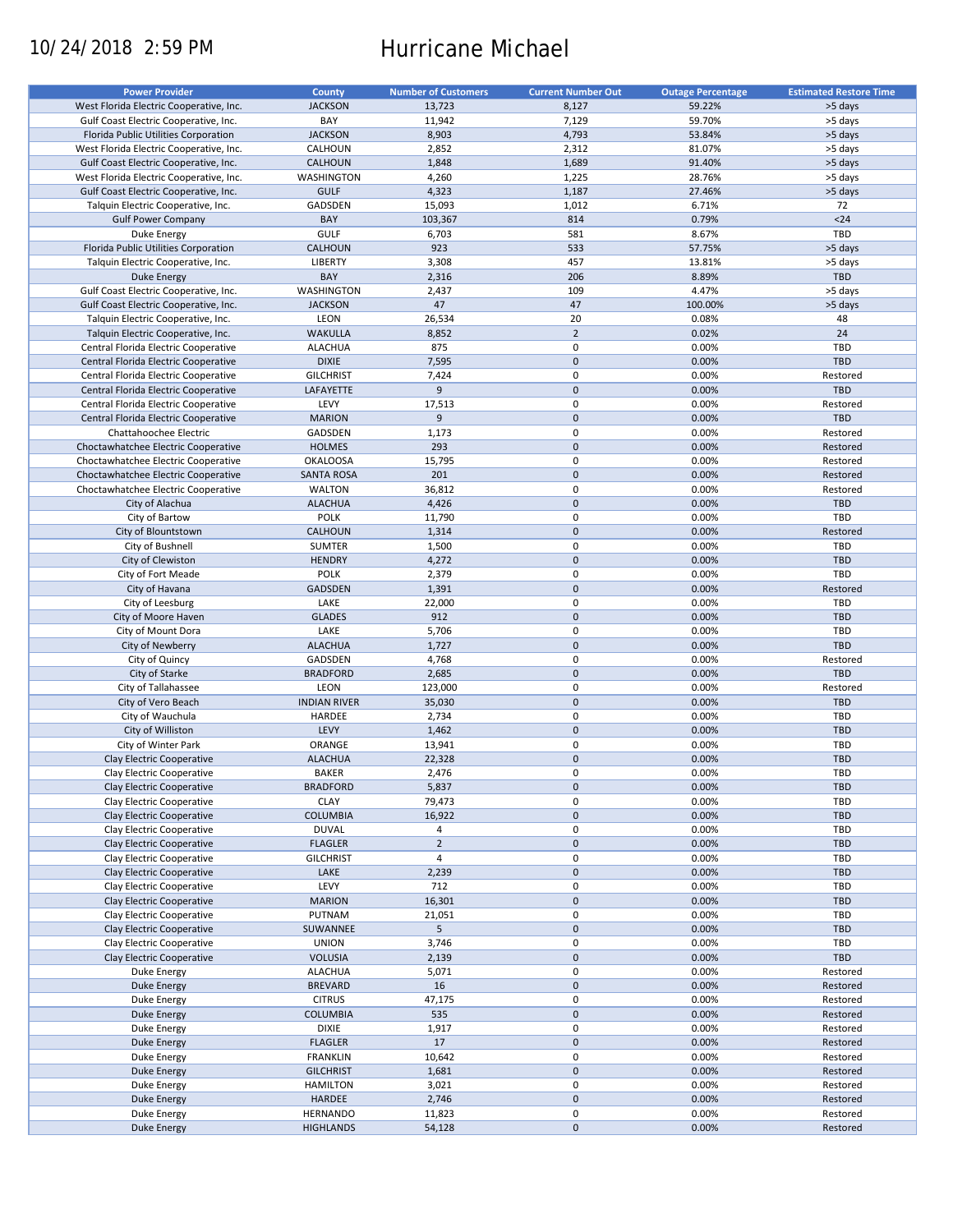# 10/24/2018 2:59 PM Hurricane Michael

| <b>Power Provider</b>                   | <b>County</b>       | <b>Number of Customers</b> | <b>Current Number Out</b> | <b>Outage Percentage</b> | <b>Estimated Restore Time</b> |
|-----------------------------------------|---------------------|----------------------------|---------------------------|--------------------------|-------------------------------|
| West Florida Electric Cooperative, Inc. | <b>JACKSON</b>      | 13,723                     | 8,127                     | 59.22%                   | >5 days                       |
| Gulf Coast Electric Cooperative, Inc.   | BAY                 | 11,942                     | 7,129                     | 59.70%                   | >5 days                       |
|                                         |                     |                            |                           |                          |                               |
| Florida Public Utilities Corporation    | <b>JACKSON</b>      | 8,903                      | 4,793                     | 53.84%                   | >5 days                       |
| West Florida Electric Cooperative, Inc. | CALHOUN             | 2,852                      | 2,312                     | 81.07%                   | >5 days                       |
| Gulf Coast Electric Cooperative, Inc.   | <b>CALHOUN</b>      | 1,848                      | 1,689                     | 91.40%                   | >5 days                       |
| West Florida Electric Cooperative, Inc. | <b>WASHINGTON</b>   | 4,260                      | 1,225                     | 28.76%                   | >5 days                       |
| Gulf Coast Electric Cooperative, Inc.   | <b>GULF</b>         | 4,323                      | 1,187                     | 27.46%                   | >5 days                       |
| Talquin Electric Cooperative, Inc.      | GADSDEN             | 15,093                     | 1,012                     | 6.71%                    | 72                            |
| <b>Gulf Power Company</b>               | BAY                 | 103,367                    | 814                       | 0.79%                    | $24$                          |
| Duke Energy                             | <b>GULF</b>         | 6,703                      | 581                       | 8.67%                    | TBD                           |
|                                         | <b>CALHOUN</b>      |                            |                           |                          |                               |
| Florida Public Utilities Corporation    |                     | 923                        | 533                       | 57.75%                   | >5 days                       |
| Talquin Electric Cooperative, Inc.      | <b>LIBERTY</b>      | 3,308                      | 457                       | 13.81%                   | >5 days                       |
| Duke Energy                             | BAY                 | 2,316                      | 206                       | 8.89%                    | TBD                           |
| Gulf Coast Electric Cooperative, Inc.   | WASHINGTON          | 2,437                      | 109                       | 4.47%                    | >5 days                       |
| Gulf Coast Electric Cooperative, Inc.   | <b>JACKSON</b>      | 47                         | 47                        | 100.00%                  | >5 days                       |
| Talquin Electric Cooperative, Inc.      | LEON                | 26,534                     | 20                        | 0.08%                    | 48                            |
| Talquin Electric Cooperative, Inc.      | <b>WAKULLA</b>      | 8,852                      | $\overline{2}$            | 0.02%                    | 24                            |
|                                         | <b>ALACHUA</b>      | 875                        | $\pmb{0}$                 | 0.00%                    | TBD                           |
| Central Florida Electric Cooperative    |                     |                            |                           |                          |                               |
| Central Florida Electric Cooperative    | <b>DIXIE</b>        | 7,595                      | $\mathbf 0$               | 0.00%                    | TBD                           |
| Central Florida Electric Cooperative    | <b>GILCHRIST</b>    | 7,424                      | $\pmb{0}$                 | 0.00%                    | Restored                      |
| Central Florida Electric Cooperative    | LAFAYETTE           | 9                          | $\mathbf 0$               | 0.00%                    | <b>TBD</b>                    |
| Central Florida Electric Cooperative    | LEVY                | 17,513                     | $\pmb{0}$                 | 0.00%                    | Restored                      |
| Central Florida Electric Cooperative    | <b>MARION</b>       | 9                          | $\mathbf 0$               | 0.00%                    | <b>TBD</b>                    |
| Chattahoochee Electric                  | GADSDEN             | 1,173                      | $\pmb{0}$                 | 0.00%                    | Restored                      |
|                                         |                     |                            |                           |                          |                               |
| Choctawhatchee Electric Cooperative     | <b>HOLMES</b>       | 293                        | $\mathbf 0$               | 0.00%                    | Restored                      |
| Choctawhatchee Electric Cooperative     | <b>OKALOOSA</b>     | 15,795                     | $\pmb{0}$                 | 0.00%                    | Restored                      |
| Choctawhatchee Electric Cooperative     | <b>SANTA ROSA</b>   | 201                        | $\mathbf 0$               | 0.00%                    | Restored                      |
| Choctawhatchee Electric Cooperative     | <b>WALTON</b>       | 36,812                     | $\mathbf 0$               | 0.00%                    | Restored                      |
| City of Alachua                         | <b>ALACHUA</b>      | 4,426                      | $\pmb{0}$                 | 0.00%                    | <b>TBD</b>                    |
| City of Bartow                          | <b>POLK</b>         | 11,790                     | $\mathbf 0$               | 0.00%                    | TBD                           |
| City of Blountstown                     | CALHOUN             | 1,314                      | $\mathbf 0$               | 0.00%                    | Restored                      |
|                                         |                     |                            | 0                         |                          |                               |
| City of Bushnell                        | SUMTER              | 1,500                      |                           | 0.00%                    | TBD                           |
| City of Clewiston                       | <b>HENDRY</b>       | 4,272                      | $\mathbf 0$               | 0.00%                    | <b>TBD</b>                    |
| City of Fort Meade                      | <b>POLK</b>         | 2,379                      | $\pmb{0}$                 | 0.00%                    | TBD                           |
| City of Havana                          | <b>GADSDEN</b>      | 1,391                      | $\mathbf 0$               | 0.00%                    | Restored                      |
| City of Leesburg                        | LAKE                | 22,000                     | 0                         | 0.00%                    | TBD                           |
| City of Moore Haven                     | <b>GLADES</b>       | 912                        | $\mathbf 0$               | 0.00%                    | <b>TBD</b>                    |
| City of Mount Dora                      | LAKE                | 5,706                      | $\pmb{0}$                 | 0.00%                    | TBD                           |
| City of Newberry                        | <b>ALACHUA</b>      | 1,727                      | $\pmb{0}$                 | 0.00%                    | <b>TBD</b>                    |
|                                         |                     |                            |                           |                          |                               |
| City of Quincy                          | GADSDEN             | 4,768                      | 0                         | 0.00%                    | Restored                      |
| City of Starke                          | <b>BRADFORD</b>     | 2,685                      | $\mathbf 0$               | 0.00%                    | <b>TBD</b>                    |
| City of Tallahassee                     | LEON                | 123,000                    | $\pmb{0}$                 | 0.00%                    | Restored                      |
| City of Vero Beach                      | <b>INDIAN RIVER</b> | 35,030                     | $\mathbf 0$               | 0.00%                    | <b>TBD</b>                    |
| City of Wauchula                        | HARDEE              | 2,734                      | 0                         | 0.00%                    | TBD                           |
| City of Williston                       | LEVY                | 1,462                      | $\mathbf 0$               | 0.00%                    | <b>TBD</b>                    |
| City of Winter Park                     | ORANGE              | 13,941                     | $\pmb{0}$                 | 0.00%                    | TBD                           |
|                                         |                     |                            |                           |                          |                               |
| Clay Electric Cooperative               | <b>ALACHUA</b>      | 22,328                     | $\mathbf 0$               | 0.00%                    | <b>TBD</b>                    |
| Clay Electric Cooperative               | <b>BAKER</b>        | 2,476                      | $\mathbf 0$               | 0.00%                    | TBD                           |
| Clay Electric Cooperative               | <b>BRADFORD</b>     | 5,837                      | $\mathsf{O}\xspace$       | 0.00%                    | <b>TBD</b>                    |
| Clay Electric Cooperative               | <b>CLAY</b>         | 79,473                     | 0                         | 0.00%                    | TBD                           |
| Clay Electric Cooperative               | <b>COLUMBIA</b>     | 16,922                     | $\pmb{0}$                 | 0.00%                    | <b>TBD</b>                    |
| Clay Electric Cooperative               | <b>DUVAL</b>        | 4                          | 0                         | 0.00%                    | TBD                           |
| Clay Electric Cooperative               | <b>FLAGLER</b>      | $\mathbf 2$                | $\pmb{0}$                 | 0.00%                    | <b>TBD</b>                    |
|                                         | <b>GILCHRIST</b>    |                            |                           |                          | TBD                           |
| Clay Electric Cooperative               |                     | 4                          | 0                         | 0.00%                    |                               |
| Clay Electric Cooperative               | LAKE                | 2,239                      | $\mathsf{O}\xspace$       | 0.00%                    | <b>TBD</b>                    |
| Clay Electric Cooperative               | LEVY                | 712                        | 0                         | 0.00%                    | TBD                           |
| Clay Electric Cooperative               | <b>MARION</b>       | 16,301                     | $\pmb{0}$                 | 0.00%                    | <b>TBD</b>                    |
| Clay Electric Cooperative               | PUTNAM              | 21,051                     | 0                         | 0.00%                    | TBD                           |
| Clay Electric Cooperative               | SUWANNEE            | 5                          | $\pmb{0}$                 | 0.00%                    | <b>TBD</b>                    |
| Clay Electric Cooperative               | <b>UNION</b>        | 3,746                      | 0                         | 0.00%                    | TBD                           |
|                                         |                     |                            |                           |                          |                               |
| Clay Electric Cooperative               | <b>VOLUSIA</b>      | 2,139                      | $\mathsf{O}\xspace$       | 0.00%                    | TBD                           |
| Duke Energy                             | <b>ALACHUA</b>      | 5,071                      | 0                         | 0.00%                    | Restored                      |
| Duke Energy                             | <b>BREVARD</b>      | 16                         | $\pmb{0}$                 | 0.00%                    | Restored                      |
| Duke Energy                             | <b>CITRUS</b>       | 47,175                     | 0                         | 0.00%                    | Restored                      |
| Duke Energy                             | <b>COLUMBIA</b>     | 535                        | $\pmb{0}$                 | 0.00%                    | Restored                      |
| Duke Energy                             | DIXIE               | 1,917                      | $\pmb{0}$                 | 0.00%                    | Restored                      |
| Duke Energy                             | <b>FLAGLER</b>      | 17                         | $\pmb{0}$                 | 0.00%                    | Restored                      |
|                                         |                     |                            |                           |                          |                               |
| Duke Energy                             | <b>FRANKLIN</b>     | 10,642                     | $\pmb{0}$                 | 0.00%                    | Restored                      |
| <b>Duke Energy</b>                      | <b>GILCHRIST</b>    | 1,681                      | $\pmb{0}$                 | 0.00%                    | Restored                      |
| Duke Energy                             | <b>HAMILTON</b>     | 3,021                      | $\pmb{0}$                 | 0.00%                    | Restored                      |
| <b>Duke Energy</b>                      | HARDEE              | 2,746                      | $\pmb{0}$                 | 0.00%                    | Restored                      |
| Duke Energy                             | <b>HERNANDO</b>     | 11,823                     | 0                         | 0.00%                    | Restored                      |
| Duke Energy                             | <b>HIGHLANDS</b>    | 54,128                     | $\pmb{0}$                 | 0.00%                    | Restored                      |
|                                         |                     |                            |                           |                          |                               |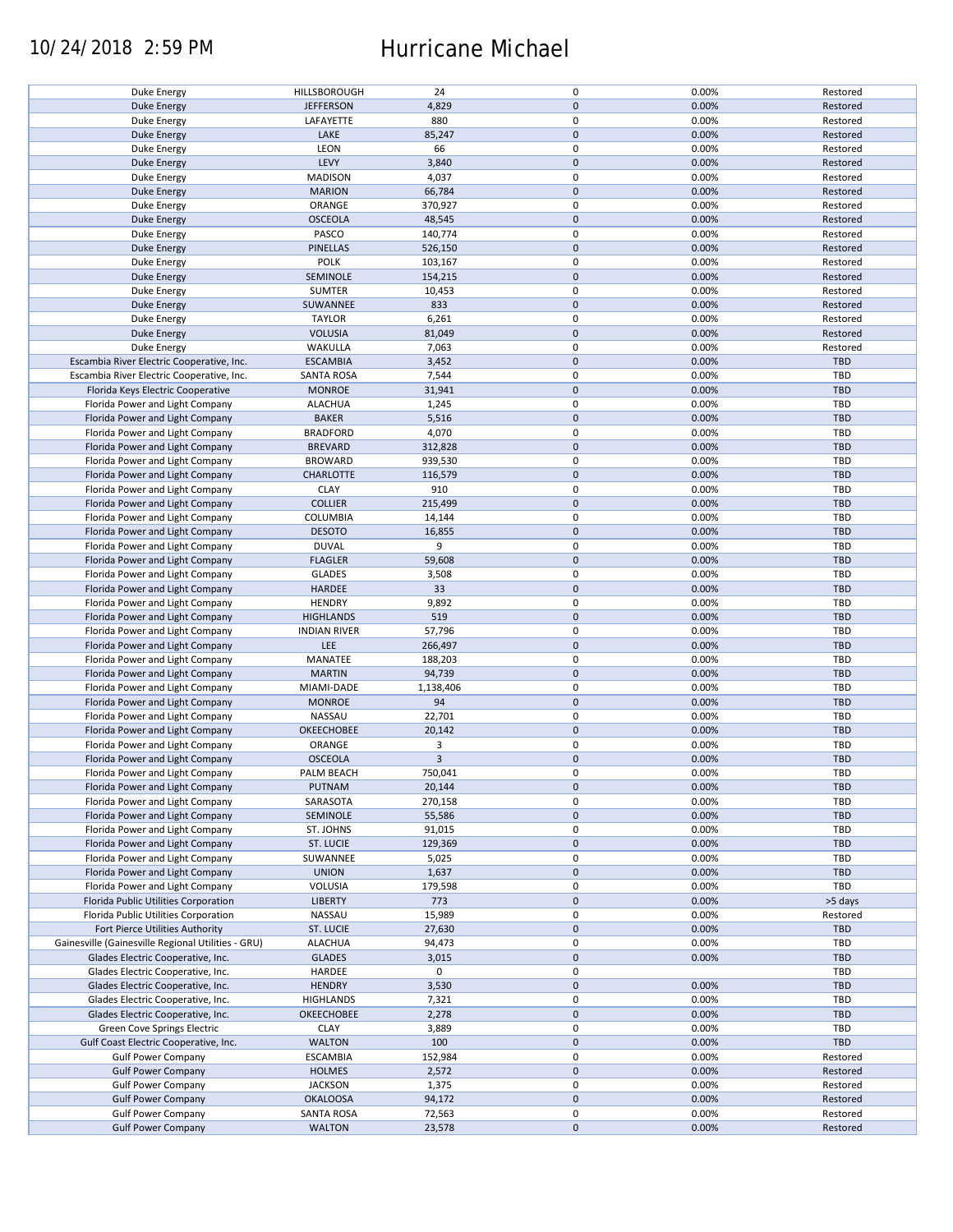### 10/24/2018 2:59 PM Hurricane Michael

| Duke Energy                                        | HILLSBOROUGH        | 24             | $\pmb{0}$   | 0.00% | Restored   |
|----------------------------------------------------|---------------------|----------------|-------------|-------|------------|
| <b>Duke Energy</b>                                 | <b>JEFFERSON</b>    | 4,829          | $\mathbf 0$ | 0.00% | Restored   |
| Duke Energy                                        | LAFAYETTE           | 880            | 0           | 0.00% | Restored   |
| <b>Duke Energy</b>                                 | LAKE                | 85,247         | $\mathbf 0$ | 0.00% | Restored   |
| Duke Energy                                        | LEON                | 66             | $\pmb{0}$   | 0.00% | Restored   |
|                                                    |                     |                |             |       |            |
| <b>Duke Energy</b>                                 | LEVY                | 3,840          | $\mathbf 0$ | 0.00% | Restored   |
| Duke Energy                                        | <b>MADISON</b>      | 4,037          | 0           | 0.00% | Restored   |
| <b>Duke Energy</b>                                 | <b>MARION</b>       | 66,784         | $\mathbf 0$ | 0.00% | Restored   |
| Duke Energy                                        | ORANGE              | 370,927        | 0           | 0.00% | Restored   |
| <b>Duke Energy</b>                                 | <b>OSCEOLA</b>      | 48,545         | $\mathbf 0$ | 0.00% | Restored   |
|                                                    | PASCO               | 140,774        | 0           | 0.00% | Restored   |
| Duke Energy                                        |                     |                |             |       |            |
| <b>Duke Energy</b>                                 | <b>PINELLAS</b>     | 526,150        | $\mathbf 0$ | 0.00% | Restored   |
| Duke Energy                                        | <b>POLK</b>         | 103,167        | $\pmb{0}$   | 0.00% | Restored   |
| <b>Duke Energy</b>                                 | SEMINOLE            | 154,215        | $\mathbf 0$ | 0.00% | Restored   |
| Duke Energy                                        | SUMTER              | 10,453         | $\pmb{0}$   | 0.00% | Restored   |
| <b>Duke Energy</b>                                 | SUWANNEE            | 833            | $\pmb{0}$   | 0.00% | Restored   |
|                                                    |                     |                |             |       |            |
| Duke Energy                                        | <b>TAYLOR</b>       | 6,261          | $\pmb{0}$   | 0.00% | Restored   |
| <b>Duke Energy</b>                                 | <b>VOLUSIA</b>      | 81,049         | $\pmb{0}$   | 0.00% | Restored   |
| Duke Energy                                        | WAKULLA             | 7,063          | $\pmb{0}$   | 0.00% | Restored   |
| Escambia River Electric Cooperative, Inc.          | <b>ESCAMBIA</b>     | 3,452          | $\pmb{0}$   | 0.00% | TBD        |
| Escambia River Electric Cooperative, Inc.          | <b>SANTA ROSA</b>   | 7,544          | $\pmb{0}$   | 0.00% | <b>TBD</b> |
|                                                    |                     |                |             |       |            |
| Florida Keys Electric Cooperative                  | <b>MONROE</b>       | 31,941         | $\pmb{0}$   | 0.00% | <b>TBD</b> |
| Florida Power and Light Company                    | <b>ALACHUA</b>      | 1,245          | 0           | 0.00% | <b>TBD</b> |
| Florida Power and Light Company                    | <b>BAKER</b>        | 5,516          | $\pmb{0}$   | 0.00% | <b>TBD</b> |
| Florida Power and Light Company                    | <b>BRADFORD</b>     | 4,070          | $\pmb{0}$   | 0.00% | TBD        |
| Florida Power and Light Company                    | <b>BREVARD</b>      | 312,828        | $\pmb{0}$   | 0.00% | <b>TBD</b> |
|                                                    |                     |                |             |       |            |
| Florida Power and Light Company                    | <b>BROWARD</b>      | 939,530        | 0           | 0.00% | TBD        |
| Florida Power and Light Company                    | <b>CHARLOTTE</b>    | 116,579        | $\mathbf 0$ | 0.00% | <b>TBD</b> |
| Florida Power and Light Company                    | <b>CLAY</b>         | 910            | $\pmb{0}$   | 0.00% | <b>TBD</b> |
| Florida Power and Light Company                    | <b>COLLIER</b>      | 215,499        | $\mathbf 0$ | 0.00% | <b>TBD</b> |
| Florida Power and Light Company                    | <b>COLUMBIA</b>     | 14,144         | 0           | 0.00% | TBD        |
|                                                    |                     |                |             |       |            |
| Florida Power and Light Company                    | <b>DESOTO</b>       | 16,855         | $\mathbf 0$ | 0.00% | <b>TBD</b> |
| Florida Power and Light Company                    | <b>DUVAL</b>        | 9              | $\pmb{0}$   | 0.00% | TBD        |
| Florida Power and Light Company                    | <b>FLAGLER</b>      | 59,608         | $\pmb{0}$   | 0.00% | <b>TBD</b> |
| Florida Power and Light Company                    | <b>GLADES</b>       | 3,508          | 0           | 0.00% | TBD        |
| Florida Power and Light Company                    | HARDEE              | 33             | $\mathbf 0$ | 0.00% | <b>TBD</b> |
|                                                    |                     |                |             |       |            |
| Florida Power and Light Company                    | <b>HENDRY</b>       | 9,892          | $\pmb{0}$   | 0.00% | TBD        |
| Florida Power and Light Company                    | <b>HIGHLANDS</b>    | 519            | $\mathbf 0$ | 0.00% | <b>TBD</b> |
| Florida Power and Light Company                    | <b>INDIAN RIVER</b> | 57,796         | $\pmb{0}$   | 0.00% | TBD        |
| Florida Power and Light Company                    | LEE                 | 266,497        | $\mathbf 0$ | 0.00% | <b>TBD</b> |
| Florida Power and Light Company                    | MANATEE             | 188,203        | $\pmb{0}$   | 0.00% | TBD        |
|                                                    |                     |                |             |       |            |
| Florida Power and Light Company                    | <b>MARTIN</b>       | 94,739         | $\mathbf 0$ | 0.00% | <b>TBD</b> |
| Florida Power and Light Company                    | MIAMI-DADE          | 1,138,406      | $\pmb{0}$   | 0.00% | <b>TBD</b> |
| Florida Power and Light Company                    | <b>MONROE</b>       | 94             | $\mathbf 0$ | 0.00% | <b>TBD</b> |
| Florida Power and Light Company                    | NASSAU              | 22,701         | 0           | 0.00% | <b>TBD</b> |
| Florida Power and Light Company                    | <b>OKEECHOBEE</b>   | 20,142         | $\mathbf 0$ | 0.00% | <b>TBD</b> |
|                                                    |                     |                |             |       |            |
| Florida Power and Light Company                    | ORANGE              | 3              | $\pmb{0}$   | 0.00% | <b>TBD</b> |
| Florida Power and Light Company                    | <b>OSCEOLA</b>      | $\overline{3}$ | $\mathbf 0$ | 0.00% | <b>TBD</b> |
| Florida Power and Light Company                    | PALM BEACH          | 750,041        | $\mathbf 0$ | 0.00% | TBD        |
| Florida Power and Light Company                    | PUTNAM              | 20,144         | $\mathbf 0$ | 0.00% | <b>TBD</b> |
| Florida Power and Light Company                    | SARASOTA            | 270,158        | 0           | 0.00% | TBD        |
|                                                    |                     |                |             |       |            |
| Florida Power and Light Company                    | SEMINOLE            | 55,586         | $\mathbf 0$ | 0.00% | <b>TBD</b> |
| Florida Power and Light Company                    | ST. JOHNS           | 91,015         | 0           | 0.00% | TBD        |
| Florida Power and Light Company                    | ST. LUCIE           | 129,369        | $\mathbf 0$ | 0.00% | <b>TBD</b> |
| Florida Power and Light Company                    | SUWANNEE            | 5,025          | 0           | 0.00% | TBD        |
| Florida Power and Light Company                    | <b>UNION</b>        | 1,637          | $\mathbf 0$ | 0.00% | <b>TBD</b> |
|                                                    |                     |                |             |       |            |
| Florida Power and Light Company                    | VOLUSIA             | 179,598        | 0           | 0.00% | TBD        |
| Florida Public Utilities Corporation               | <b>LIBERTY</b>      | 773            | $\pmb{0}$   | 0.00% | >5 days    |
| Florida Public Utilities Corporation               | NASSAU              | 15,989         | 0           | 0.00% | Restored   |
| Fort Pierce Utilities Authority                    | <b>ST. LUCIE</b>    | 27,630         | $\mathbf 0$ | 0.00% | <b>TBD</b> |
| Gainesville (Gainesville Regional Utilities - GRU) | <b>ALACHUA</b>      | 94,473         | 0           | 0.00% | TBD        |
|                                                    |                     |                | $\mathbf 0$ |       |            |
| Glades Electric Cooperative, Inc.                  | <b>GLADES</b>       | 3,015          |             | 0.00% | <b>TBD</b> |
| Glades Electric Cooperative, Inc.                  | HARDEE              | 0              | 0           |       | TBD        |
| Glades Electric Cooperative, Inc.                  | <b>HENDRY</b>       | 3,530          | $\pmb{0}$   | 0.00% | <b>TBD</b> |
| Glades Electric Cooperative, Inc.                  | <b>HIGHLANDS</b>    | 7,321          | $\pmb{0}$   | 0.00% | <b>TBD</b> |
| Glades Electric Cooperative, Inc.                  | <b>OKEECHOBEE</b>   | 2,278          | $\pmb{0}$   | 0.00% | <b>TBD</b> |
|                                                    |                     |                |             |       |            |
| Green Cove Springs Electric                        | <b>CLAY</b>         | 3,889          | $\pmb{0}$   | 0.00% | <b>TBD</b> |
| Gulf Coast Electric Cooperative, Inc.              | <b>WALTON</b>       | 100            | $\pmb{0}$   | 0.00% | TBD        |
| <b>Gulf Power Company</b>                          | <b>ESCAMBIA</b>     | 152,984        | $\pmb{0}$   | 0.00% | Restored   |
| <b>Gulf Power Company</b>                          | <b>HOLMES</b>       | 2,572          | $\pmb{0}$   | 0.00% | Restored   |
| <b>Gulf Power Company</b>                          | <b>JACKSON</b>      | 1,375          | $\pmb{0}$   | 0.00% | Restored   |
|                                                    |                     |                |             |       |            |
| <b>Gulf Power Company</b>                          | <b>OKALOOSA</b>     | 94,172         | $\pmb{0}$   | 0.00% | Restored   |
| <b>Gulf Power Company</b>                          | <b>SANTA ROSA</b>   | 72,563         | $\pmb{0}$   | 0.00% | Restored   |
| <b>Gulf Power Company</b>                          | <b>WALTON</b>       | 23,578         | $\pmb{0}$   | 0.00% | Restored   |
|                                                    |                     |                |             |       |            |